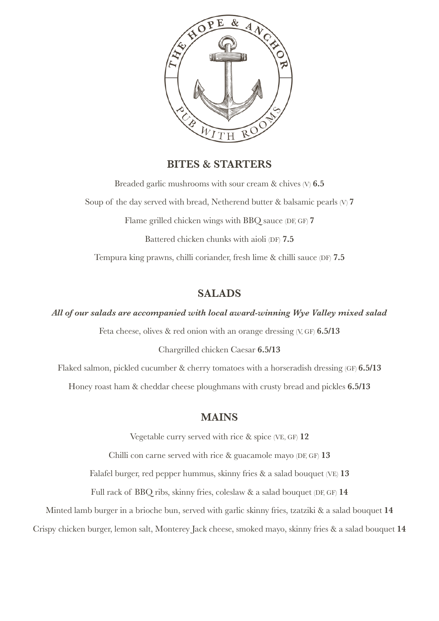

## **BITES & STARTERS**

Breaded garlic mushrooms with sour cream & chives (V) **6.5** Soup of the day served with bread, Netherend butter & balsamic pearls (V) **7** Flame grilled chicken wings with BBQ sauce (DF, GF) **7** Battered chicken chunks with aioli (DF) **7.5** Tempura king prawns, chilli coriander, fresh lime & chilli sauce (DF) **7.5**

# **SALADS**

*All of our salads are accompanied with local award-winning Wye Valley mixed salad*

Feta cheese, olives & red onion with an orange dressing (V, GF) **6.5/13**

Chargrilled chicken Caesar **6.5/13**

Flaked salmon, pickled cucumber & cherry tomatoes with a horseradish dressing (GF) **6.5/13** Honey roast ham & cheddar cheese ploughmans with crusty bread and pickles **6.5/13**

## **MAINS**

Vegetable curry served with rice & spice (VE, GF) **12**

Chilli con carne served with rice & guacamole mayo (DF, GF) **13**

Falafel burger, red pepper hummus, skinny fries & a salad bouquet (VE) **13**

Full rack of BBQ ribs, skinny fries, coleslaw & a salad bouquet (DF, GF) **14**

Minted lamb burger in a brioche bun, served with garlic skinny fries, tzatziki & a salad bouquet **14**

Crispy chicken burger, lemon salt, Monterey Jack cheese, smoked mayo, skinny fries & a salad bouquet **14**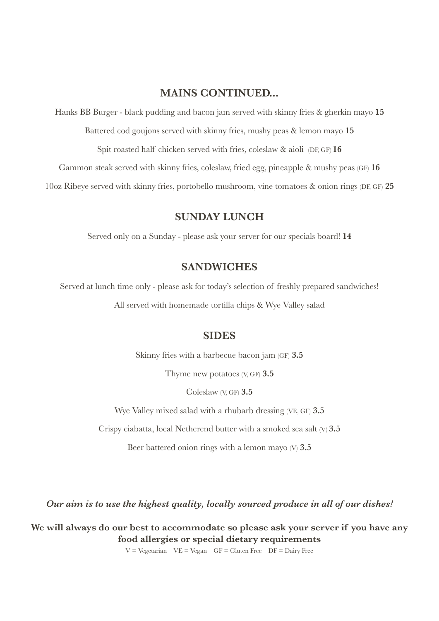## **MAINS CONTINUED...**

Hanks BB Burger - black pudding and bacon jam served with skinny fries & gherkin mayo **15**

Battered cod goujons served with skinny fries, mushy peas & lemon mayo **15**

Spit roasted half chicken served with fries, coleslaw & aioli (DF, GF) **16** 

Gammon steak served with skinny fries, coleslaw, fried egg, pineapple & mushy peas (GF) **16**

10oz Ribeye served with skinny fries, portobello mushroom, vine tomatoes & onion rings (DF, GF) **25**

# **SUNDAY LUNCH**

Served only on a Sunday - please ask your server for our specials board! **14**

## **SANDWICHES**

Served at lunch time only - please ask for today's selection of freshly prepared sandwiches! All served with homemade tortilla chips & Wye Valley salad

#### **SIDES**

Skinny fries with a barbecue bacon jam (GF) **3.5**

Thyme new potatoes (V, GF) **3.5**

Coleslaw (V, GF) **3.5**

Wye Valley mixed salad with a rhubarb dressing (VE, GF) **3.5**

Crispy ciabatta, local Netherend butter with a smoked sea salt (V) **3.5**

Beer battered onion rings with a lemon mayo (V) **3.5**

*Our aim is to use the highest quality, locally sourced produce in all of our dishes!*

**We will always do our best to accommodate so please ask your server if you have any food allergies or special dietary requirements**

 $V = Vegetarian$   $VE = Vega$   $GF = Gluten$  Free  $DF = Daily$  Free